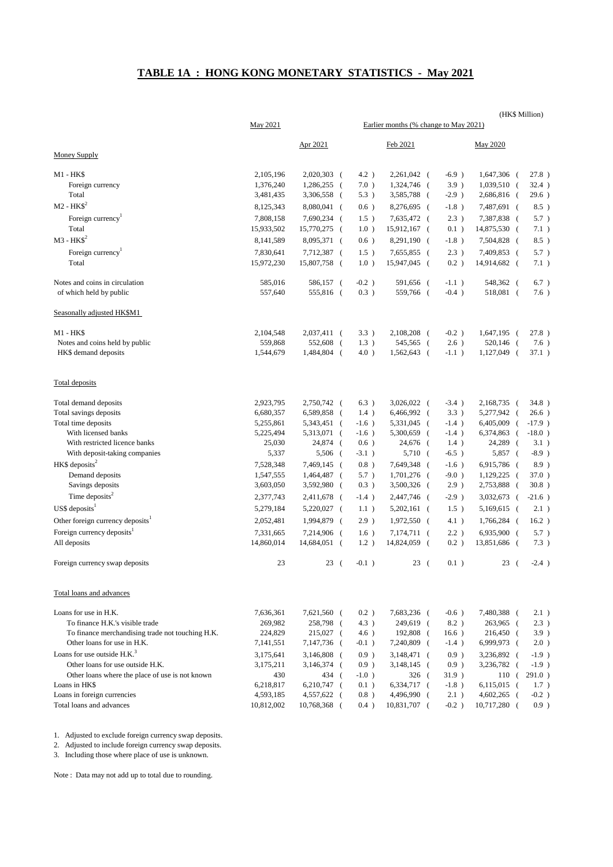#### **TABLE 1A : HONG KONG MONETARY STATISTICS - May 2021**

|                                                  |                        |                              |                                       |                            |     |                  | (HK\$ Million)                 |  |                  |
|--------------------------------------------------|------------------------|------------------------------|---------------------------------------|----------------------------|-----|------------------|--------------------------------|--|------------------|
|                                                  | May 2021               |                              | Earlier months (% change to May 2021) |                            |     |                  |                                |  |                  |
|                                                  |                        | Apr 2021                     |                                       | Feb 2021                   |     |                  | May 2020                       |  |                  |
| Money Supply                                     |                        |                              |                                       |                            |     |                  |                                |  |                  |
| M1 - HK\$                                        | 2,105,196              | 2,020,303                    | 4.2)<br>$\overline{ }$                | 2,261,042 (                |     | $-6.9$ )         | 1,647,306 (                    |  | 27.8)            |
| Foreign currency                                 | 1,376,240              | 1,286,255                    | $7.0$ )<br>- (                        | 1,324,746 (                |     | $3.9$ )          | $1,039,510$ (                  |  | 32.4)            |
| Total                                            | 3,481,435              | 3,306,558                    | 5.3)<br>- (                           | 3,585,788 (                |     | $-2.9$ )         | 2,686,816 (                    |  | 29.6)            |
| $M2 - HKS2$                                      | 8,125,343              | 8,080,041<br>$\sqrt{ }$      | 0.6)                                  | 8,276,695 (                |     | $-1.8$ )         | 7,487,691 (                    |  | 8.5)             |
| Foreign currency <sup>1</sup>                    | 7,808,158              | 7,690,234                    | $\left($<br>$1.5$ )                   | 7,635,472 (                |     | 2.3)             | 7,387,838 (                    |  | 5.7)             |
| Total                                            | 15,933,502             | 15,770,275 (                 | $1.0$ )                               | 15,912,167 (               |     | 0.1)             | 14,875,530 (                   |  | 7.1)             |
| $M3 - HKS2$                                      | 8,141,589              | 8,095,371<br>$\sqrt{2}$      | 0.6)                                  | 8,291,190 (                |     | $-1.8$ )         | 7,504,828 (                    |  | 8.5)             |
| Foreign currency <sup>1</sup>                    | 7,830,641              | 7,712,387                    | 1.5)<br>- (                           | 7,655,855 (                |     | 2.3)             | 7,409,853 (                    |  | 5.7)             |
| Total                                            | 15,972,230             | 15,807,758                   | $1.0$ )<br>$\overline{ }$             | 15,947,045 (               |     | $0.2$ )          | 14,914,682 (                   |  | 7.1)             |
| Notes and coins in circulation                   | 585,016                | 586,157                      | $-0.2$ )<br>- (                       | 591,656 (                  |     | $-1.1$ )         | 548,362 (                      |  | 6.7)             |
| of which held by public                          | 557,640                | 555,816 (                    | 0.3)                                  | 559,766 (                  |     | $-0.4$ )         | 518,081 (                      |  | 7.6)             |
| Seasonally adjusted HK\$M1                       |                        |                              |                                       |                            |     |                  |                                |  |                  |
| M1 - HK\$                                        | 2,104,548              | 2,037,411 (                  | 3.3)                                  | 2,108,208 (                |     | $-0.2$ )         | $1,647,195$ (                  |  | 27.8)            |
| Notes and coins held by public                   | 559,868                | 552,608                      | 1.3)<br>$\overline{ }$                | 545,565 (                  |     | 2.6)             | 520,146 (                      |  | 7.6)             |
| HK\$ demand deposits                             | 1,544,679              | 1,484,804 (                  | $4.0$ )                               | 1,562,643 (                |     | $-1.1$ )         | 1,127,049 (                    |  | 37.1)            |
| Total deposits                                   |                        |                              |                                       |                            |     |                  |                                |  |                  |
| Total demand deposits                            | 2,923,795              | 2,750,742 (                  | 6.3)                                  | 3,026,022 (                |     | $-3.4$ )         | 2,168,735 (                    |  | 34.8)            |
| Total savings deposits                           | 6,680,357              | 6,589,858                    | 1.4)<br>- (                           | 6,466,992 (                |     | 3.3)             | 5,277,942 (                    |  | 26.6)            |
| Total time deposits                              | 5,255,861              | 5,343,451                    | $\sqrt{ }$<br>$-1.6$ )                | 5,331,045 (                |     | $-1.4$ )         | 6,405,009<br>$\sqrt{2}$        |  | $-17.9)$         |
| With licensed banks                              | 5,225,494              | 5,313,071 (                  | $-1.6$ )                              | 5,300,659 (                |     | $-1.4$ )         | 6,374,863 (                    |  | $-18.0$ )        |
| With restricted licence banks                    | 25,030                 | 24,874 (                     | 0.6)                                  | 24,676 (                   |     | $1.4$ )          | 24,289 (                       |  | 3.1)             |
| With deposit-taking companies                    | 5,337                  | 5,506 (                      | $-3.1$ )                              | 5,710 (                    |     | $-6.5$ )         | 5,857 (                        |  | $-8.9$ )         |
| HK\$ deposits <sup>2</sup>                       | 7,528,348              | 7,469,145                    | 0.8)<br>$\left($                      | 7,649,348                  | - ( | $-1.6$ )         | 6,915,786 (                    |  | 8.9)             |
| Demand deposits                                  | 1,547,555              | 1,464,487                    | 5.7)<br>- (                           | $1,701,276$ (              |     | $-9.0$ )         | 1,129,225 (                    |  | $37.0$ )         |
| Savings deposits                                 | 3,603,050              | 3,592,980 (                  | 0.3)                                  | 3,500,326 (                |     | 2.9)             | 2,753,888 (                    |  | 30.8)            |
| Time deposits <sup>2</sup>                       | 2,377,743              | 2,411,678                    | $-1.4$ )<br>- (                       | 2,447,746 (                |     | $-2.9$ )         | $3,032,673$ (                  |  | $-21.6$ )        |
| US\$ deposits $1$                                | 5,279,184              | 5,220,027                    | 1.1)<br>- (                           | $5,202,161$ (              |     | $1.5$ )          | 5,169,615 (                    |  | 2.1)             |
| Other foreign currency deposits <sup>1</sup>     | 2,052,481              | 1,994,879                    | 2.9)<br>- (                           | 1,972,550 (                |     | 4.1)             | 1,766,284 (                    |  | 16.2)            |
| Foreign currency deposits <sup>1</sup>           | 7,331,665              | 7,214,906                    | 1.6)<br>- (                           | 7,174,711 (                |     | 2.2)             | 6,935,900 (                    |  | 5.7)             |
| All deposits                                     | 14,860,014             | 14,684,051<br>$\sqrt{2}$     | $1.2$ )                               | 14,824,059 (               |     | 0.2)             | 13,851,686 (                   |  | 7.3)             |
| Foreign currency swap deposits                   | 23                     | 23(                          | $-0.1$ )                              | 23(                        |     | 0.1)             | 23(                            |  | $-2.4$ )         |
| Total loans and advances                         |                        |                              |                                       |                            |     |                  |                                |  |                  |
| Loans for use in H.K.                            | 7,636,361              | 7,621,560 (                  | 0.2)                                  | 7,683,236 (                |     | $-0.6$ )         | 7,480,388 (                    |  | 2.1)             |
| To finance H.K.'s visible trade                  | 269,982                | 258,798 (                    | 4.3)                                  | 249,619 (                  |     | $8.2$ )          | 263,965 (                      |  | 2.3)             |
| To finance merchandising trade not touching H.K. | 224,829                | 215,027 (                    | 4.6)                                  | 192,808 (                  |     | 16.6)            | 216,450 (                      |  | 3.9)             |
| Other loans for use in H.K.                      | 7,141,551              | 7,147,736 (                  | $-0.1$ )                              | 7,240,809 (                |     | $-1.4$ )         | 6,999,973 (                    |  | $2.0$ )          |
| Loans for use outside $H.K.3$                    | 3,175,641              | 3,146,808 (                  | 0.9)                                  | 3,148,471 (                |     | 0.9)             | 3,236,892 (                    |  | $-1.9$ )         |
| Other loans for use outside H.K.                 | 3,175,211              | 3,146,374 (                  | 0.9)                                  | 3,148,145 (                |     | $0.9$ )          | 3,236,782 (                    |  | $-1.9$ )         |
| Other loans where the place of use is not known  | 430                    | 434 (                        | $-1.0$ )                              | $326$ (                    |     | $31.9$ )         | 110(                           |  | 291.0)           |
| Loans in HK\$<br>Loans in foreign currencies     | 6,218,817<br>4,593,185 | $6,210,747$ (<br>4,557,622 ( | 0.1)<br>0.8)                          | 6,334,717 (<br>4,496,990 ( |     | $-1.8$ )<br>2.1) | $6,115,015$ (<br>$4,602,265$ ( |  | 1.7)<br>$-0.2$ ) |
| Total loans and advances                         | 10,812,002             | 10,768,368 (                 | 0.4)                                  | 10,831,707 (               |     | $-0.2$ )         | 10,717,280 (                   |  | 0.9)             |
|                                                  |                        |                              |                                       |                            |     |                  |                                |  |                  |

1. Adjusted to exclude foreign currency swap deposits.

2. Adjusted to include foreign currency swap deposits.

3. Including those where place of use is unknown.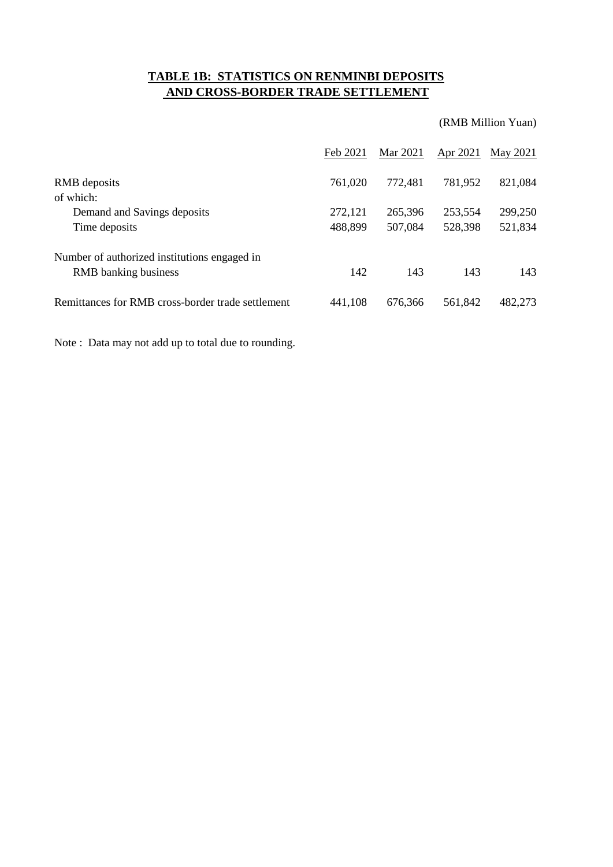# **TABLE 1B: STATISTICS ON RENMINBI DEPOSITS AND CROSS-BORDER TRADE SETTLEMENT**

(RMB Million Yuan)

|                                                                             | Feb 2021           | Mar 2021           | Apr 2021           | May 2021           |
|-----------------------------------------------------------------------------|--------------------|--------------------|--------------------|--------------------|
| RMB deposits<br>of which:                                                   | 761,020            | 772.481            | 781,952            | 821,084            |
| Demand and Savings deposits<br>Time deposits                                | 272,121<br>488,899 | 265,396<br>507,084 | 253,554<br>528,398 | 299,250<br>521,834 |
| Number of authorized institutions engaged in<br><b>RMB</b> banking business | 142                | 143                | 143                | 143                |
| Remittances for RMB cross-border trade settlement                           | 441.108            | 676,366            | 561,842            | 482,273            |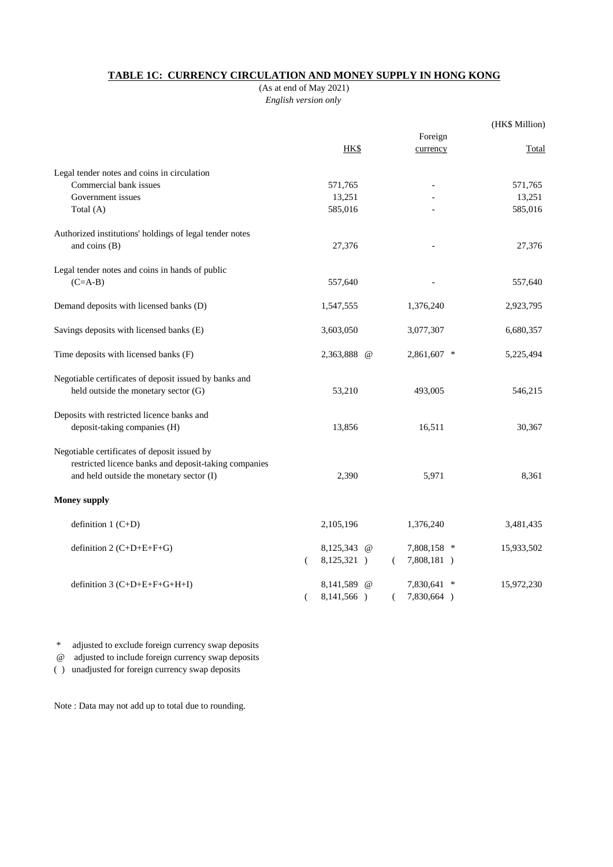## **TABLE 1C: CURRENCY CIRCULATION AND MONEY SUPPLY IN HONG KONG**

(As at end of May 2021) *English version only*

|                                                         |   |               |  |   |             |  | (HK\$ Million) |
|---------------------------------------------------------|---|---------------|--|---|-------------|--|----------------|
|                                                         |   |               |  |   | Foreign     |  |                |
|                                                         |   | HK\$          |  |   | currency    |  | <b>Total</b>   |
| Legal tender notes and coins in circulation             |   |               |  |   |             |  |                |
| Commercial bank issues                                  |   | 571,765       |  |   |             |  | 571,765        |
| Government issues                                       |   | 13,251        |  |   |             |  | 13,251         |
| Total (A)                                               |   | 585,016       |  |   |             |  | 585,016        |
| Authorized institutions' holdings of legal tender notes |   |               |  |   |             |  |                |
| and coins (B)                                           |   | 27,376        |  |   |             |  | 27,376         |
| Legal tender notes and coins in hands of public         |   |               |  |   |             |  |                |
| $(C=A-B)$                                               |   | 557,640       |  |   |             |  | 557,640        |
| Demand deposits with licensed banks (D)                 |   | 1,547,555     |  |   | 1,376,240   |  | 2,923,795      |
| Savings deposits with licensed banks (E)                |   | 3,603,050     |  |   | 3,077,307   |  | 6,680,357      |
| Time deposits with licensed banks (F)                   |   | $2,363,888$ @ |  |   | 2,861,607 * |  | 5,225,494      |
| Negotiable certificates of deposit issued by banks and  |   |               |  |   |             |  |                |
| held outside the monetary sector (G)                    |   | 53,210        |  |   | 493,005     |  | 546,215        |
| Deposits with restricted licence banks and              |   |               |  |   |             |  |                |
| deposit-taking companies (H)                            |   | 13,856        |  |   | 16,511      |  | 30,367         |
| Negotiable certificates of deposit issued by            |   |               |  |   |             |  |                |
| restricted licence banks and deposit-taking companies   |   |               |  |   |             |  |                |
| and held outside the monetary sector (I)                |   | 2,390         |  |   | 5,971       |  | 8,361          |
| <b>Money supply</b>                                     |   |               |  |   |             |  |                |
| definition $1 (C+D)$                                    |   | 2,105,196     |  |   | 1,376,240   |  | 3,481,435      |
| definition $2 (C+D+E+F+G)$                              |   | 8,125,343 @   |  |   | 7,808,158 * |  | 15,933,502     |
|                                                         | € | 8,125,321)    |  | € | 7,808,181 ) |  |                |
| definition $3 (C+D+E+F+G+H+I)$                          |   | 8,141,589 @   |  |   | 7,830,641 * |  | 15,972,230     |
|                                                         | € | 8,141,566 )   |  | € | 7,830,664 ) |  |                |

\* adjusted to exclude foreign currency swap deposits

@ adjusted to include foreign currency swap deposits

( ) unadjusted for foreign currency swap deposits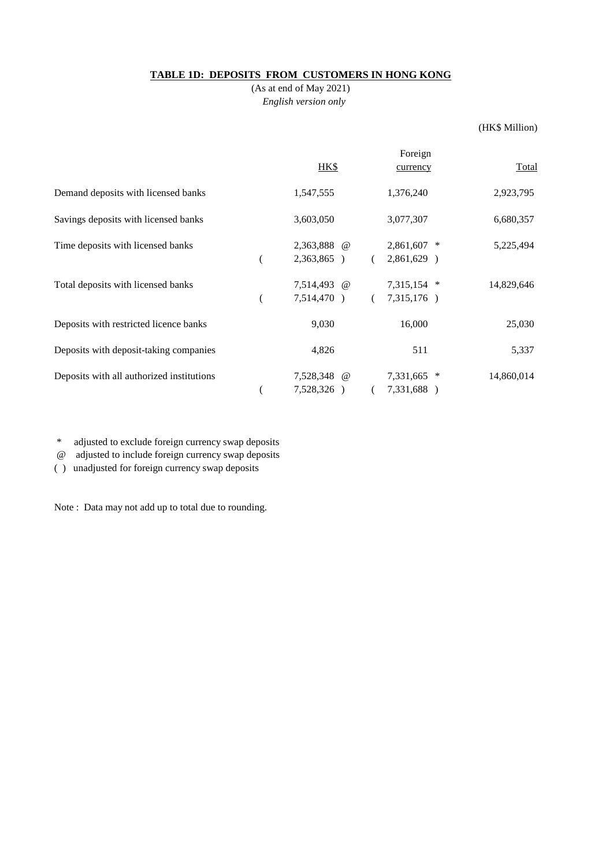## **TABLE 1D: DEPOSITS FROM CUSTOMERS IN HONG KONG**

(As at end of May 2021) *English version only*

#### (HK\$ Million)

|                                           | HK\$                       | Foreign<br>currency              | <b>Total</b> |
|-------------------------------------------|----------------------------|----------------------------------|--------------|
| Demand deposits with licensed banks       | 1,547,555                  | 1,376,240                        | 2,923,795    |
| Savings deposits with licensed banks      | 3,603,050                  | 3,077,307                        | 6,680,357    |
| Time deposits with licensed banks         | 2,363,888 @<br>2,363,865)  | 2,861,607 *<br>2,861,629 )       | 5,225,494    |
| Total deposits with licensed banks        | 7,514,493 @<br>7,514,470 ) | 7,315,154 *<br>7,315,176 )       | 14,829,646   |
| Deposits with restricted licence banks    | 9,030                      | 16,000                           | 25,030       |
| Deposits with deposit-taking companies    | 4,826                      | 511                              | 5,337        |
| Deposits with all authorized institutions | 7,528,348 @<br>7,528,326)  | 7,331,665<br>$\ast$<br>7,331,688 | 14,860,014   |

\* adjusted to exclude foreign currency swap deposits

@ adjusted to include foreign currency swap deposits

( ) unadjusted for foreign currency swap deposits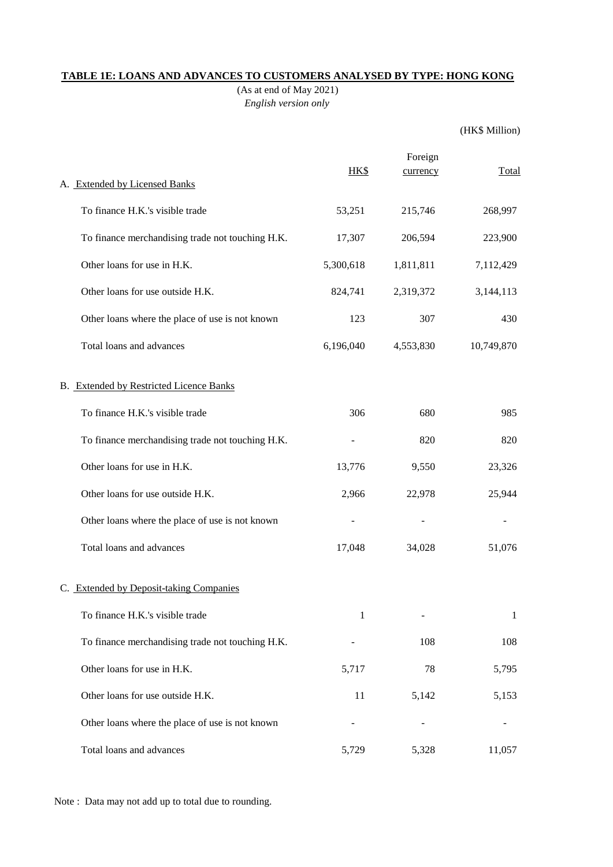### **TABLE 1E: LOANS AND ADVANCES TO CUSTOMERS ANALYSED BY TYPE: HONG KONG**

(As at end of May 2021) *English version only*

(HK\$ Million)

Foreign HK\$ currency Total A. Extended by Licensed Banks To finance H.K.'s visible trade 53,251 215,746 268,997 To finance merchandising trade not touching H.K. 17,307 206,594 223,900 Other loans for use in H.K. 5,300,618 1,811,811 7,112,429 Other loans for use outside H.K. 824,741 2,319,372 3,144,113 Other loans where the place of use is not known 123 307 430 Total loans and advances 6,196,040 4,553,830 10,749,870 B. Extended by Restricted Licence Banks To finance H.K.'s visible trade 50 885 880 985 To finance merchandising trade not touching H.K. 4820 820 Other loans for use in H.K. 13,776 9,550 23,326 Other loans for use outside H.K. 2,966 22,978 25,944 Other loans where the place of use is not known - - - Total loans and advances 17,048 34,028 51,076 C. Extended by Deposit-taking Companies To finance H.K.'s visible trade 1 - 1 - 1 To finance merchandising trade not touching H.K.  $108$  108 108 Other loans for use in H.K. 5,717 78 5,795 Other loans for use outside H.K. 11 5,142 5,153 Other loans where the place of use is not known - - - Total loans and advances 5,729 5,328 11,057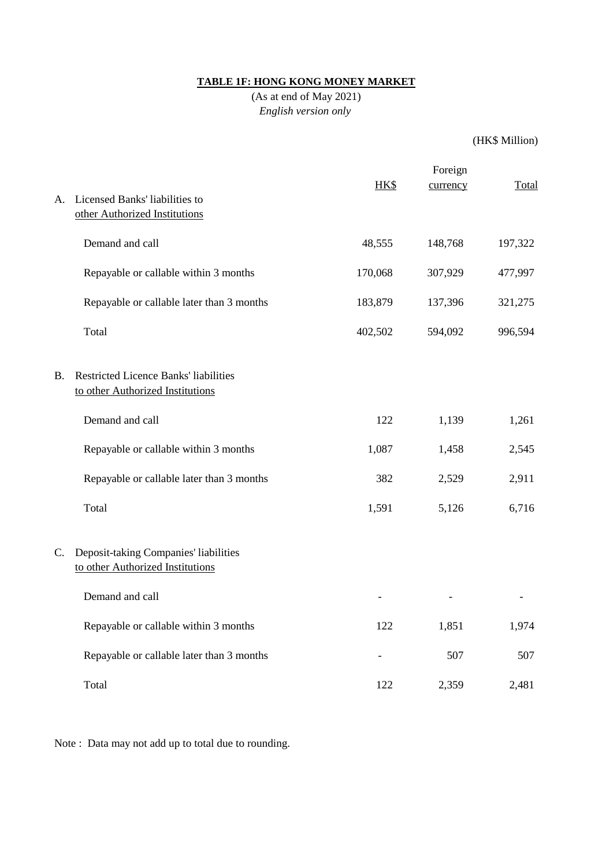# **TABLE 1F: HONG KONG MONEY MARKET**

(As at end of May 2021) *English version only*

## (HK\$ Million)

|           |                                                                                  | H <sub>K</sub> | Foreign<br>currency | Total   |
|-----------|----------------------------------------------------------------------------------|----------------|---------------------|---------|
| А.        | Licensed Banks' liabilities to<br>other Authorized Institutions                  |                |                     |         |
|           | Demand and call                                                                  | 48,555         | 148,768             | 197,322 |
|           | Repayable or callable within 3 months                                            | 170,068        | 307,929             | 477,997 |
|           | Repayable or callable later than 3 months                                        | 183,879        | 137,396             | 321,275 |
|           | Total                                                                            | 402,502        | 594,092             | 996,594 |
| <b>B.</b> | <b>Restricted Licence Banks' liabilities</b><br>to other Authorized Institutions |                |                     |         |
|           | Demand and call                                                                  | 122            | 1,139               | 1,261   |
|           | Repayable or callable within 3 months                                            | 1,087          | 1,458               | 2,545   |
|           | Repayable or callable later than 3 months                                        | 382            | 2,529               | 2,911   |
|           | Total                                                                            | 1,591          | 5,126               | 6,716   |
| C.        | Deposit-taking Companies' liabilities<br>to other Authorized Institutions        |                |                     |         |
|           | Demand and call                                                                  |                |                     |         |
|           | Repayable or callable within 3 months                                            | 122            | 1,851               | 1,974   |
|           | Repayable or callable later than 3 months                                        | $\overline{a}$ | 507                 | 507     |
|           | Total                                                                            | 122            | 2,359               | 2,481   |